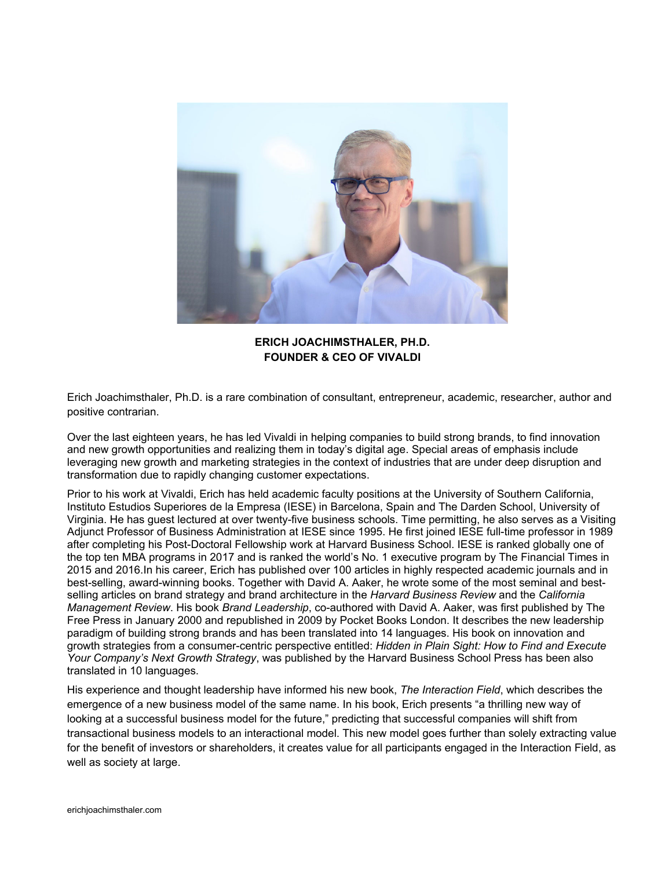

**ERICH JOACHIMSTHALER, PH.D. FOUNDER & CEO OF VIVALDI** 

Erich Joachimsthaler, Ph.D. is a rare combination of consultant, entrepreneur, academic, researcher, author and positive contrarian.

Over the last eighteen years, he has led Vivaldi in helping companies to build strong brands, to find innovation and new growth opportunities and realizing them in today's digital age. Special areas of emphasis include leveraging new growth and marketing strategies in the context of industries that are under deep disruption and transformation due to rapidly changing customer expectations.

Prior to his work at Vivaldi, Erich has held academic faculty positions at the University of Southern California, Instituto Estudios Superiores de la Empresa (IESE) in Barcelona, Spain and The Darden School, University of Virginia. He has guest lectured at over twenty-five business schools. Time permitting, he also serves as a Visiting Adjunct Professor of Business Administration at IESE since 1995. He first joined IESE full-time professor in 1989 after completing his Post-Doctoral Fellowship work at Harvard Business School. IESE is ranked globally one of the top ten MBA programs in 2017 and is ranked the world's No. 1 executive program by The Financial Times in 2015 and 2016.In his career, Erich has published over 100 articles in highly respected academic journals and in best-selling, award-winning books. Together with David A. Aaker, he wrote some of the most seminal and bestselling articles on brand strategy and brand architecture in the *Harvard Business Review* and the *California Management Review*. His book *Brand Leadership*, co-authored with David A. Aaker, was first published by The Free Press in January 2000 and republished in 2009 by Pocket Books London. It describes the new leadership paradigm of building strong brands and has been translated into 14 languages. His book on innovation and growth strategies from a consumer-centric perspective entitled: *Hidden in Plain Sight: How to Find and Execute Your Company's Next Growth Strategy*, was published by the Harvard Business School Press has been also translated in 10 languages.

His experience and thought leadership have informed his new book, *The Interaction Field*, which describes the emergence of a new business model of the same name. In his book, Erich presents "a thrilling new way of looking at a successful business model for the future," predicting that successful companies will shift from transactional business models to an interactional model. This new model goes further than solely extracting value for the benefit of investors or shareholders, it creates value for all participants engaged in the Interaction Field, as well as society at large.